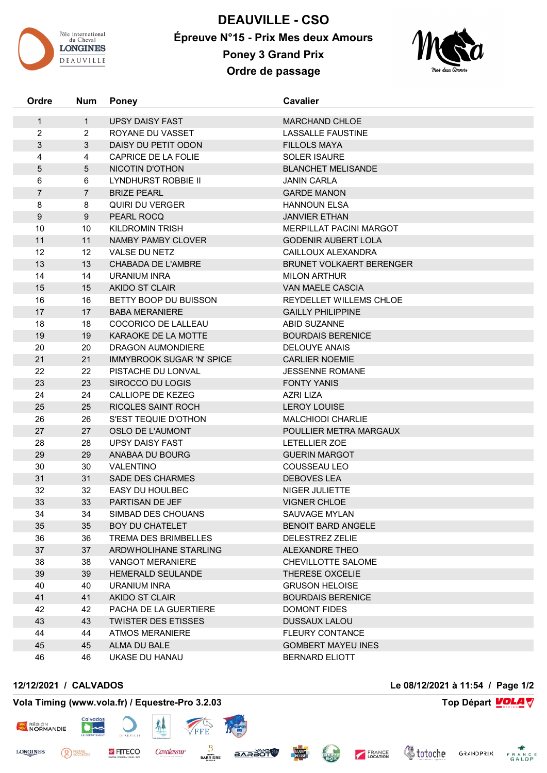

**DEAUVILLE - CSO Épreuve N°15 - Prix Mes deux Amours Poney 3 Grand Prix Ordre de passage**



| Ordre        | <b>Num</b>     | <b>Poney</b>                          | <b>Cavalier</b>                      |
|--------------|----------------|---------------------------------------|--------------------------------------|
| $\mathbf{1}$ | $\mathbf{1}$   | <b>UPSY DAISY FAST</b>                | <b>MARCHAND CHLOE</b>                |
| 2            | $\overline{2}$ | ROYANE DU VASSET                      | <b>LASSALLE FAUSTINE</b>             |
| 3            | 3              | DAISY DU PETIT ODON                   | <b>FILLOLS MAYA</b>                  |
| 4            | 4              | CAPRICE DE LA FOLIE                   | <b>SOLER ISAURE</b>                  |
| 5            | 5              | <b>NICOTIN D'OTHON</b>                | <b>BLANCHET MELISANDE</b>            |
| 6            | 6              | <b>LYNDHURST ROBBIE II</b>            | <b>JANIN CARLA</b>                   |
| 7            | $\overline{7}$ | <b>BRIZE PEARL</b>                    | <b>GARDE MANON</b>                   |
| 8            | 8              | QUIRI DU VERGER                       | <b>HANNOUN ELSA</b>                  |
| $9\,$        | 9              | PEARL ROCQ                            | <b>JANVIER ETHAN</b>                 |
| 10           | 10             | <b>KILDROMIN TRISH</b>                | <b>MERPILLAT PACINI MARGOT</b>       |
| 11           | 11             | NAMBY PAMBY CLOVER                    | <b>GODENIR AUBERT LOLA</b>           |
| 12           | 12             | VALSE DU NETZ                         | CAILLOUX ALEXANDRA                   |
| 13           | 13             | <b>CHABADA DE L'AMBRE</b>             | <b>BRUNET VOLKAERT BERENGER</b>      |
| 14           | 14             | <b>URANIUM INRA</b>                   | <b>MILON ARTHUR</b>                  |
| 15           | 15             | AKIDO ST CLAIR                        | <b>VAN MAELE CASCIA</b>              |
| 16           | 16             | BETTY BOOP DU BUISSON                 | REYDELLET WILLEMS CHLOE              |
| 17           | 17             | <b>BABA MERANIERE</b>                 | <b>GAILLY PHILIPPINE</b>             |
| 18           | 18             | COCORICO DE LALLEAU                   | ABID SUZANNE                         |
| 19           | 19             | KARAOKE DE LA MOTTE                   | <b>BOURDAIS BERENICE</b>             |
| 20           | 20             | DRAGON AUMONDIERE                     | <b>DELOUYE ANAIS</b>                 |
| 21           | 21             | <b>IMMYBROOK SUGAR 'N' SPICE</b>      | <b>CARLIER NOEMIE</b>                |
| 22           | 22             | PISTACHE DU LONVAL                    | <b>JESSENNE ROMANE</b>               |
| 23           | 23             | SIROCCO DU LOGIS                      | <b>FONTY YANIS</b>                   |
| 24           | 24             | CALLIOPE DE KEZEG                     | <b>AZRI LIZA</b>                     |
| 25           | 25             | RICQLES SAINT ROCH                    | <b>LEROY LOUISE</b>                  |
| 26           | 26             | S'EST TEQUIE D'OTHON                  | <b>MALCHIODI CHARLIE</b>             |
| 27           | 27             | OSLO DE L'AUMONT                      | POULLIER METRA MARGAUX               |
| 28           | 28             | <b>UPSY DAISY FAST</b>                | LETELLIER ZOE                        |
| 29           | 29             | ANABAA DU BOURG                       | <b>GUERIN MARGOT</b>                 |
| 30           | 30             | <b>VALENTINO</b>                      | COUSSEAU LEO                         |
| 31           | 31             | <b>SADE DES CHARMES</b>               | <b>DEBOVES LEA</b>                   |
| 32           | 32             | EASY DU HOULBEC                       | NIGER JULIETTE                       |
| 33<br>34     | 33<br>34       | PARTISAN DE JEF<br>SIMBAD DES CHOUANS | <b>VIGNER CHLOE</b><br>SAUVAGE MYLAN |
| 35           | 35             | BOY DU CHATELET                       | <b>BENOIT BARD ANGELE</b>            |
| 36           | 36             | TREMA DES BRIMBELLES                  | DELESTREZ ZELIE                      |
| 37           | 37             | ARDWHOLIHANE STARLING                 | <b>ALEXANDRE THEO</b>                |
| 38           | 38             | <b>VANGOT MERANIERE</b>               | CHEVILLOTTE SALOME                   |
| 39           | 39             | HEMERALD SEULANDE                     | THERESE OXCELIE                      |
| 40           | 40             | <b>URANIUM INRA</b>                   | <b>GRUSON HELOISE</b>                |
| 41           | 41             | AKIDO ST CLAIR                        | <b>BOURDAIS BERENICE</b>             |
| 42           | 42             | PACHA DE LA GUERTIERE                 | DOMONT FIDES                         |
| 43           | 43             | <b>TWISTER DES ETISSES</b>            | <b>DUSSAUX LALOU</b>                 |
| 44           | 44             | <b>ATMOS MERANIERE</b>                | <b>FLEURY CONTANCE</b>               |
| 45           | 45             | ALMA DU BALE                          | <b>GOMBERT MAYEU INES</b>            |
| 46           | 46             | UKASE DU HANAU                        | <b>BERNARD ELIOTT</b>                |
|              |                |                                       |                                      |

## **12/12/2021 / CALVADOS Le 08/12/2021 à 11:54 / Page 1/2**

(<sup>2</sup>) PIERRE<sub>S</sub>

RÉGION<br>NORMANDIE

**LONGINES** 

## **Vola Timing (www.vola.fr) / Equestre-Pro 3.2.03 Top Départ VOLA**

 $\bullet$ 

**Votoche** GRANDPRIX FRANCE

FRANCE

**CLEAN** 

**EQUIP** 

**BARAOT**